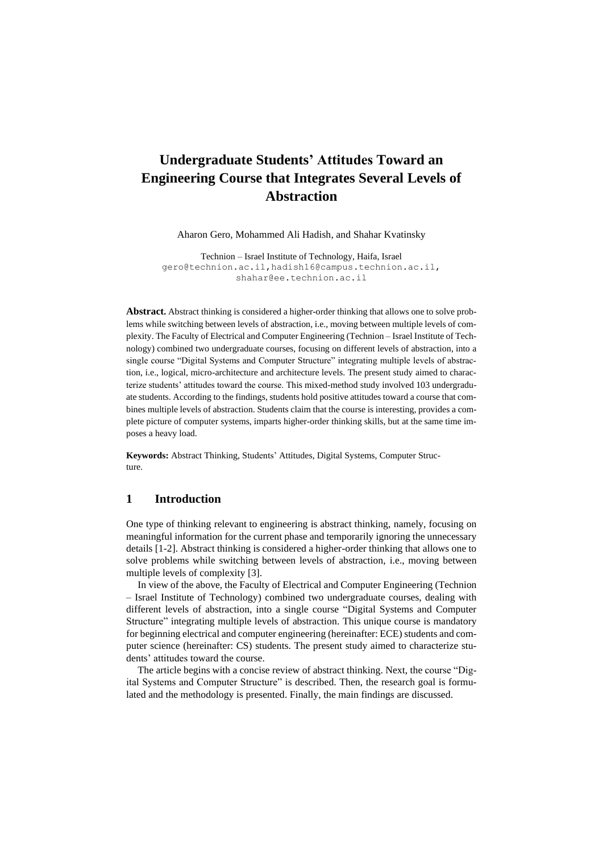# **Undergraduate Students' Attitudes Toward an Engineering Course that Integrates Several Levels of Abstraction**

Aharon Gero, Mohammed Ali Hadish, and Shahar Kvatinsky

Technion – Israel Institute of Technology, Haifa, Israel [gero@technion.ac.il,](mailto:gero@technion.ac.il)hadish16@campus.technion.ac.il, shahar@ee.technion.ac.il

**Abstract.** Abstract thinking is considered a higher-order thinking that allows one to solve problems while switching between levels of abstraction, i.e., moving between multiple levels of complexity. The Faculty of Electrical and Computer Engineering (Technion – Israel Institute of Technology) combined two undergraduate courses, focusing on different levels of abstraction, into a single course "Digital Systems and Computer Structure" integrating multiple levels of abstraction, i.e., logical, micro-architecture and architecture levels. The present study aimed to characterize students' attitudes toward the course. This mixed-method study involved 103 undergraduate students. According to the findings, students hold positive attitudes toward a course that combines multiple levels of abstraction. Students claim that the course is interesting, provides a complete picture of computer systems, imparts higher-order thinking skills, but at the same time imposes a heavy load.

**Keywords:** Abstract Thinking, Students' Attitudes, Digital Systems, Computer Structure.

## **1 Introduction**

One type of thinking relevant to engineering is abstract thinking, namely, focusing on meaningful information for the current phase and temporarily ignoring the unnecessary details [1-2]. Abstract thinking is considered a higher-order thinking that allows one to solve problems while switching between levels of abstraction, i.e., moving between multiple levels of complexity [3].

In view of the above, the Faculty of Electrical and Computer Engineering (Technion – Israel Institute of Technology) combined two undergraduate courses, dealing with different levels of abstraction, into a single course "Digital Systems and Computer Structure" integrating multiple levels of abstraction. This unique course is mandatory for beginning electrical and computer engineering (hereinafter: ECE) students and computer science (hereinafter: CS) students. The present study aimed to characterize students' attitudes toward the course.

The article begins with a concise review of abstract thinking. Next, the course "Digital Systems and Computer Structure" is described. Then, the research goal is formulated and the methodology is presented. Finally, the main findings are discussed.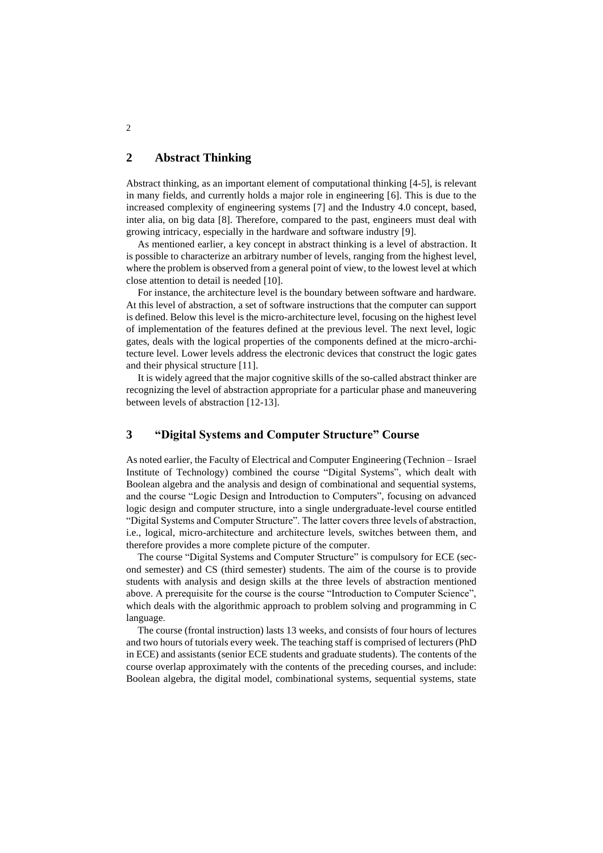# **2 Abstract Thinking**

Abstract thinking, as an important element of computational thinking [4-5], is relevant in many fields, and currently holds a major role in engineering [6]. This is due to the increased complexity of engineering systems [7] and the Industry 4.0 concept, based, inter alia, on big data [8]. Therefore, compared to the past, engineers must deal with growing intricacy, especially in the hardware and software industry [9].

As mentioned earlier, a key concept in abstract thinking is a level of abstraction. It is possible to characterize an arbitrary number of levels, ranging from the highest level, where the problem is observed from a general point of view, to the lowest level at which close attention to detail is needed [10].

For instance, the architecture level is the boundary between software and hardware. At this level of abstraction, a set of software instructions that the computer can support is defined. Below this level is the micro-architecture level, focusing on the highest level of implementation of the features defined at the previous level. The next level, logic gates, deals with the logical properties of the components defined at the micro-architecture level. Lower levels address the electronic devices that construct the logic gates and their physical structure [11].

It is widely agreed that the major cognitive skills of the so-called abstract thinker are recognizing the level of abstraction appropriate for a particular phase and maneuvering between levels of abstraction [12-13].

## **3 "Digital Systems and Computer Structure" Course**

As noted earlier, the Faculty of Electrical and Computer Engineering (Technion – Israel Institute of Technology) combined the course "Digital Systems", which dealt with Boolean algebra and the analysis and design of combinational and sequential systems, and the course "Logic Design and Introduction to Computers", focusing on advanced logic design and computer structure, into a single undergraduate-level course entitled "Digital Systems and Computer Structure". The latter covers three levels of abstraction, i.e., logical, micro-architecture and architecture levels, switches between them, and therefore provides a more complete picture of the computer .

The course "Digital Systems and Computer Structure" is compulsory for ECE (second semester) and CS (third semester) students. The aim of the course is to provide students with analysis and design skills at the three levels of abstraction mentioned above. A prerequisite for the course is the course "Introduction to Computer Science", which deals with the algorithmic approach to problem solving and programming in C language.

The course (frontal instruction) lasts 13 weeks, and consists of four hours of lectures and two hours of tutorials every week. The teaching staff is comprised of lecturers (PhD in ECE) and assistants (senior ECE students and graduate students). The contents of the course overlap approximately with the contents of the preceding courses, and include: Boolean algebra, the digital model, combinational systems, sequential systems, state

2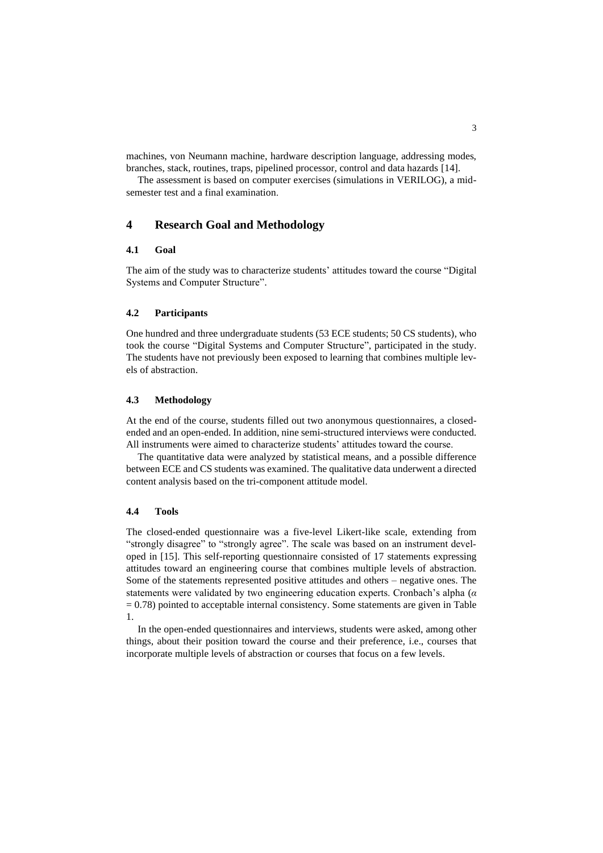machines, von Neumann machine, hardware description language, addressing modes, branches, stack, routines, traps, pipelined processor, control and data hazards [14].

The assessment is based on computer exercises (simulations in VERILOG), a midsemester test and a final examination.

## **4 Research Goal and Methodology**

## **4.1 Goal**

The aim of the study was to characterize students' attitudes toward the course "Digital Systems and Computer Structure".

#### **4.2 Participants**

One hundred and three undergraduate students (53 ECE students; 50 CS students), who took the course "Digital Systems and Computer Structure", participated in the study. The students have not previously been exposed to learning that combines multiple levels of abstraction.

#### **4.3 Methodology**

At the end of the course, students filled out two anonymous questionnaires, a closedended and an open-ended. In addition, nine semi-structured interviews were conducted. All instruments were aimed to characterize students' attitudes toward the course.

The quantitative data were analyzed by statistical means, and a possible difference between ECE and CS students was examined. The qualitative data underwent a directed content analysis based on the tri-component attitude model.

#### **4.4 Tools**

The closed-ended questionnaire was a five-level Likert-like scale, extending from "strongly disagree" to "strongly agree". The scale was based on an instrument developed in [15]. This self-reporting questionnaire consisted of 17 statements expressing attitudes toward an engineering course that combines multiple levels of abstraction. Some of the statements represented positive attitudes and others – negative ones. The statements were validated by two engineering education experts. Cronbach's alpha (*α*  $= 0.78$ ) pointed to acceptable internal consistency. Some statements are given in Table 1.

In the open-ended questionnaires and interviews, students were asked, among other things, about their position toward the course and their preference, i.e., courses that incorporate multiple levels of abstraction or courses that focus on a few levels.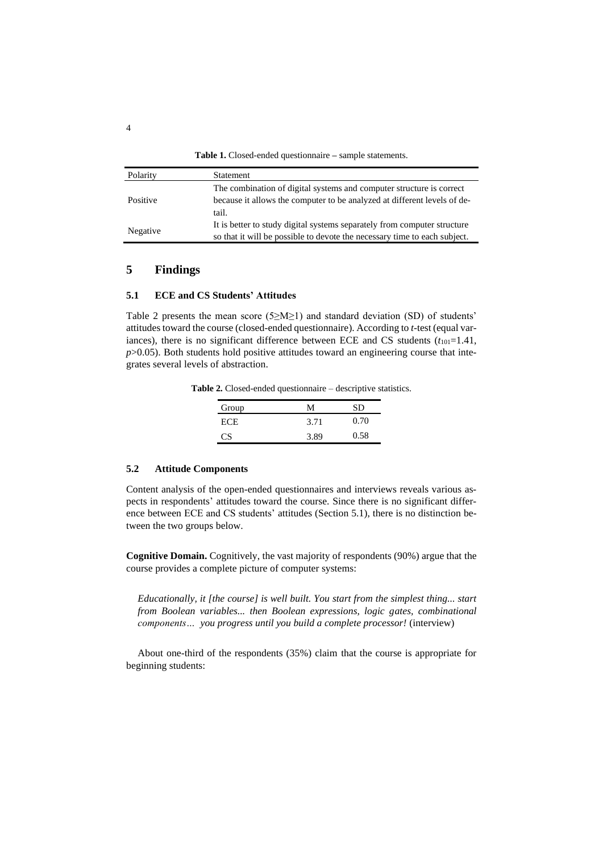**Table 1.** Closed-ended questionnaire **–** sample statements.

| Polarity | Statement                                                                 |  |
|----------|---------------------------------------------------------------------------|--|
| Positive | The combination of digital systems and computer structure is correct      |  |
|          | because it allows the computer to be analyzed at different levels of de-  |  |
|          | tail.                                                                     |  |
| Negative | It is better to study digital systems separately from computer structure  |  |
|          | so that it will be possible to devote the necessary time to each subject. |  |

## **5 Findings**

### **5.1 ECE and CS Students' Attitudes**

Table 2 presents the mean score ( $5 \ge M \ge 1$ ) and standard deviation (SD) of students' attitudes toward the course (closed-ended questionnaire). According to *t*-test (equal variances), there is no significant difference between ECE and CS students  $(t_{101}=1.41)$ ,  $p$  $>$ 0.05). Both students hold positive attitudes toward an engineering course that integrates several levels of abstraction.

| Group      | м    | SD   |
|------------|------|------|
| <b>ECE</b> | 3.71 | 0.70 |
| CS.        | 3.89 | 0.58 |

**Table 2.** Closed-ended questionnaire – descriptive statistics.

#### **5.2 Attitude Components**

Content analysis of the open-ended questionnaires and interviews reveals various aspects in respondents' attitudes toward the course. Since there is no significant difference between ECE and CS students' attitudes (Section 5.1), there is no distinction between the two groups below.

**Cognitive Domain.** Cognitively, the vast majority of respondents (90%) argue that the course provides a complete picture of computer systems:

*Educationally, it [the course] is well built. You start from the simplest thing... start from Boolean variables... then Boolean expressions, logic gates, combinational components… you progress until you build a complete processor!* (interview)

About one-third of the respondents (35%) claim that the course is appropriate for beginning students: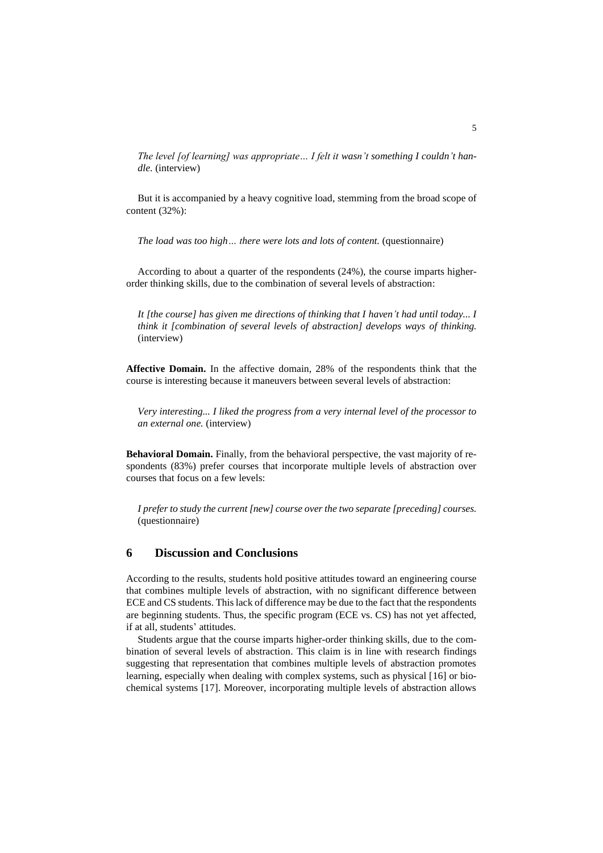*The level [of learning] was appropriate… I felt it wasn't something I couldn't handle.* (interview)

But it is accompanied by a heavy cognitive load, stemming from the broad scope of content (32%):

*The load was too high… there were lots and lots of content.* (questionnaire)

According to about a quarter of the respondents (24%), the course imparts higherorder thinking skills, due to the combination of several levels of abstraction:

*It [the course] has given me directions of thinking that I haven't had until today... I think it [combination of several levels of abstraction] develops ways of thinking.* (interview)

**Affective Domain.** In the affective domain, 28% of the respondents think that the course is interesting because it maneuvers between several levels of abstraction:

*Very interesting... I liked the progress from a very internal level of the processor to an external one.* (interview)

**Behavioral Domain.** Finally, from the behavioral perspective, the vast majority of respondents (83%) prefer courses that incorporate multiple levels of abstraction over courses that focus on a few levels:

*I prefer to study the current [new] course over the two separate [preceding] courses.* (questionnaire)

# **6 Discussion and Conclusions**

According to the results, students hold positive attitudes toward an engineering course that combines multiple levels of abstraction, with no significant difference between ECE and CS students. This lack of difference may be due to the fact that the respondents are beginning students. Thus, the specific program (ECE vs. CS) has not yet affected, if at all, students' attitudes.

Students argue that the course imparts higher-order thinking skills, due to the combination of several levels of abstraction. This claim is in line with research findings suggesting that representation that combines multiple levels of abstraction promotes learning, especially when dealing with complex systems, such as physical [16] or biochemical systems [17]. Moreover, incorporating multiple levels of abstraction allows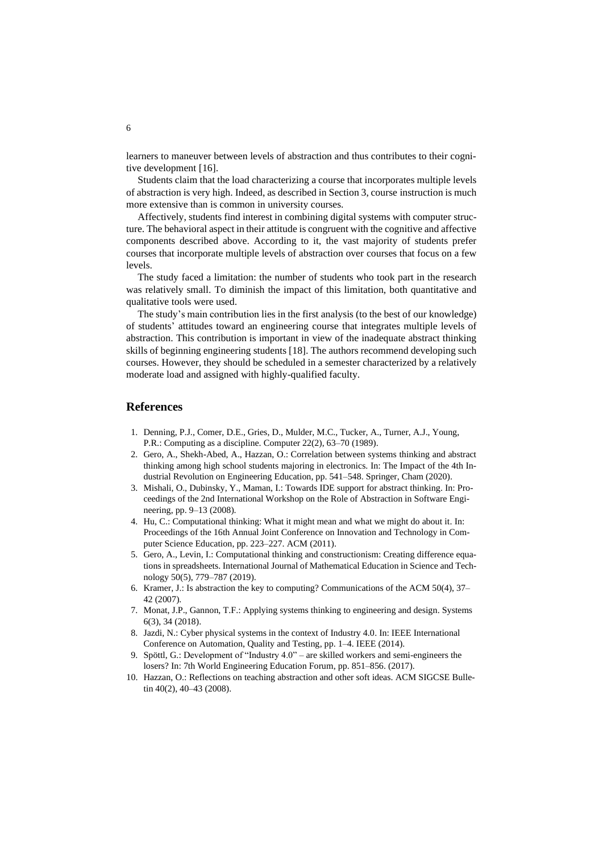learners to maneuver between levels of abstraction and thus contributes to their cognitive development [16].

Students claim that the load characterizing a course that incorporates multiple levels of abstraction is very high. Indeed, as described in Section 3, course instruction is much more extensive than is common in university courses.

Affectively, students find interest in combining digital systems with computer structure. The behavioral aspect in their attitude is congruent with the cognitive and affective components described above. According to it, the vast majority of students prefer courses that incorporate multiple levels of abstraction over courses that focus on a few levels.

The study faced a limitation: the number of students who took part in the research was relatively small. To diminish the impact of this limitation, both quantitative and qualitative tools were used.

The study's main contribution lies in the first analysis (to the best of our knowledge) of students' attitudes toward an engineering course that integrates multiple levels of abstraction. This contribution is important in view of the inadequate abstract thinking skills of beginning engineering students [18]. The authors recommend developing such courses. However, they should be scheduled in a semester characterized by a relatively moderate load and assigned with highly-qualified faculty.

## **References**

- 1. Denning, P.J., Comer, D.E., Gries, D., Mulder, M.C., Tucker, A., Turner, A.J., Young, P.R.: Computing as a discipline. Computer 22(2), 63–70 (1989).
- 2. Gero, A., Shekh-Abed, A., Hazzan, O.: Correlation between systems thinking and abstract thinking among high school students majoring in electronics. In: The Impact of the 4th Industrial Revolution on Engineering Education, pp. 541–548. Springer, Cham (2020).
- 3. Mishali, O., Dubinsky, Y., Maman, I.: Towards IDE support for abstract thinking. In: Proceedings of the 2nd International Workshop on the Role of Abstraction in Software Engineering, pp. 9–13 (2008).
- 4. Hu, C.: Computational thinking: What it might mean and what we might do about it. In: Proceedings of the 16th Annual Joint Conference on Innovation and Technology in Computer Science Education, pp. 223–227. ACM (2011).
- 5. Gero, A., Levin, I.: Computational thinking and constructionism: Creating difference equations in spreadsheets. International Journal of Mathematical Education in Science and Technology 50(5), 779–787 (2019).
- 6. Kramer, J.: Is abstraction the key to computing? Communications of the ACM 50(4), 37– 42 (2007).
- 7. Monat, J.P., Gannon, T.F.: Applying systems thinking to engineering and design. Systems 6(3), 34 (2018).
- 8. Jazdi, N.: Cyber physical systems in the context of Industry 4.0. In: IEEE International Conference on Automation, Quality and Testing, pp. 1–4. IEEE (2014).
- 9. Spöttl, G.: Development of "Industry 4.0" are skilled workers and semi-engineers the losers? In: 7th World Engineering Education Forum, pp. 851–856. (2017).
- 10. Hazzan, O.: Reflections on teaching abstraction and other soft ideas. ACM SIGCSE Bulletin 40(2), 40–43 (2008).